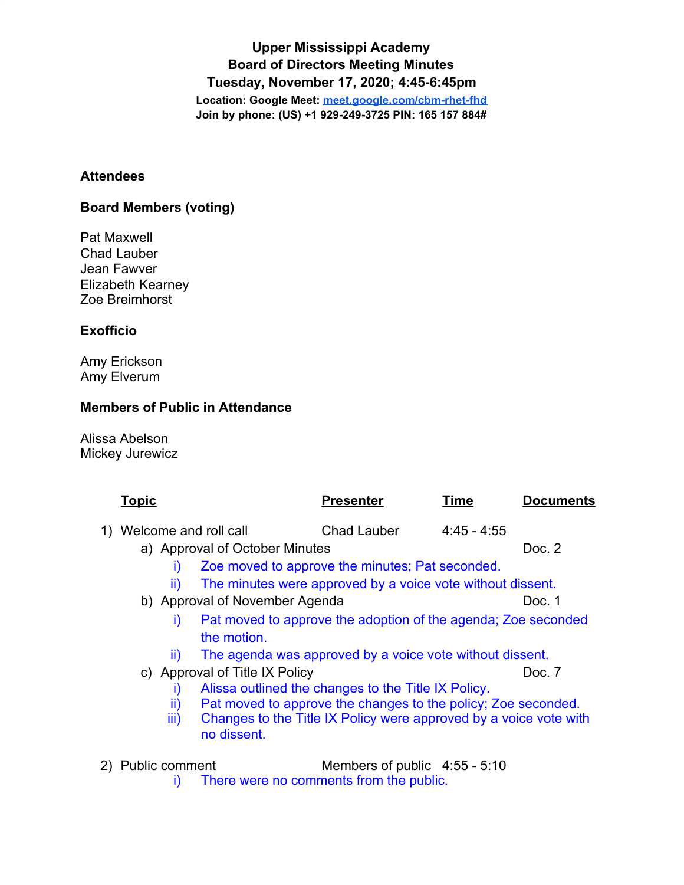**Upper Mississippi Academy Board of Directors Meeting Minutes Tuesday, November 17, 2020; 4:45-6:45pm Location: Google Meet: [meet.google.com/cbm-rhet-fhd](http://meet.google.com/cbm-rhet-fhd) Join by phone: (US) +1 929-249-3725 PIN: 165 157 884#**

#### **Attendees**

## **Board Members (voting)**

Pat Maxwell Chad Lauber Jean Fawver Elizabeth Kearney Zoe Breimhorst

## **Exofficio**

Amy Erickson Amy Elverum

### **Members of Public in Attendance**

Alissa Abelson Mickey Jurewicz

|                                                                            | <u>Topic</u>                                                                  |                                                 | <b>Presenter</b>                                                  | Time          | <b>Documents</b> |
|----------------------------------------------------------------------------|-------------------------------------------------------------------------------|-------------------------------------------------|-------------------------------------------------------------------|---------------|------------------|
|                                                                            | 1) Welcome and roll call                                                      |                                                 | Chad Lauber                                                       | $4.45 - 4.55$ |                  |
|                                                                            | a) Approval of October Minutes                                                |                                                 |                                                                   |               | Doc. 2           |
|                                                                            | Ð                                                                             | Zoe moved to approve the minutes; Pat seconded. |                                                                   |               |                  |
| The minutes were approved by a voice vote without dissent.<br>$\mathbf{u}$ |                                                                               |                                                 |                                                                   |               |                  |
|                                                                            |                                                                               | b) Approval of November Agenda                  |                                                                   |               | Doc. 1           |
|                                                                            | Pat moved to approve the adoption of the agenda; Zoe seconded<br>i)           |                                                 |                                                                   |               |                  |
|                                                                            |                                                                               | the motion.                                     |                                                                   |               |                  |
|                                                                            | $\mathbf{u}$                                                                  |                                                 | The agenda was approved by a voice vote without dissent.          |               |                  |
|                                                                            |                                                                               | c) Approval of Title IX Policy                  |                                                                   |               | Doc. 7           |
|                                                                            | Alissa outlined the changes to the Title IX Policy.<br>Ð                      |                                                 |                                                                   |               |                  |
|                                                                            | Pat moved to approve the changes to the policy; Zoe seconded.<br>$\mathbb{I}$ |                                                 |                                                                   |               |                  |
|                                                                            | iii)                                                                          |                                                 | Changes to the Title IX Policy were approved by a voice vote with |               |                  |
|                                                                            |                                                                               | no dissent.                                     |                                                                   |               |                  |
|                                                                            | 2) Public comment                                                             |                                                 | Members of public $4.55 - 5.10$                                   |               |                  |
|                                                                            |                                                                               |                                                 |                                                                   |               |                  |

i) There were no comments from the public.